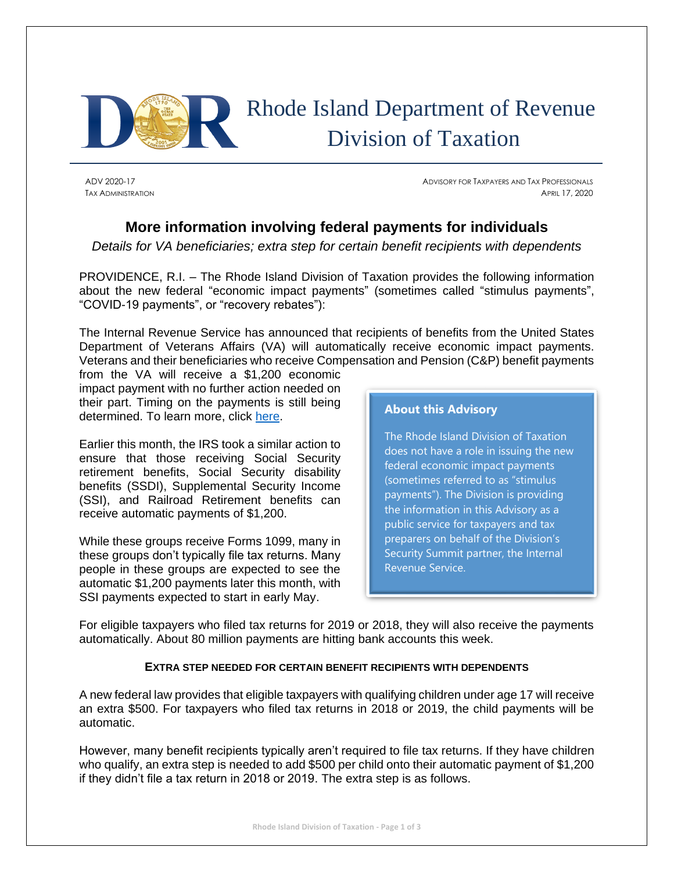

ADV 2020-17 ADVISORY FOR TAXPAYERS AND TAX PROFESSIONALS TAX ADMINISTRATION **APRIL 17, 2020** 

# **More information involving federal payments for individuals**

*Details for VA beneficiaries; extra step for certain benefit recipients with dependents*

PROVIDENCE, R.I. – The Rhode Island Division of Taxation provides the following information about the new federal "economic impact payments" (sometimes called "stimulus payments", "COVID-19 payments", or "recovery rebates"):

The Internal Revenue Service has announced that recipients of benefits from the United States Department of Veterans Affairs (VA) will automatically receive economic impact payments. Veterans and their beneficiaries who receive Compensation and Pension (C&P) benefit payments

from the VA will receive a \$1,200 economic impact payment with no further action needed on their part. Timing on the payments is still being determined. To learn more, click [here.](https://www.irs.gov/newsroom/veterans-affairs-recipients-will-receive-automatic-economic-impact-payments-step-follows-work-between-treasury-irs-va)

Earlier this month, the IRS took a similar action to ensure that those receiving Social Security retirement benefits, Social Security disability benefits (SSDI), Supplemental Security Income (SSI), and Railroad Retirement benefits can receive automatic payments of \$1,200.

While these groups receive Forms 1099, many in these groups don't typically file tax returns. Many people in these groups are expected to see the automatic \$1,200 payments later this month, with SSI payments expected to start in early May.

**About this Advisory**

The Rhode Island Division of Taxation does not have a role in issuing the new federal economic impact payments (sometimes referred to as "stimulus payments"). The Division is providing the information in this Advisory as a public service for taxpayers and tax preparers on behalf of the Division's Security Summit partner, the Internal Revenue Service.

For eligible taxpayers who filed tax returns for 2019 or 2018, they will also receive the payments automatically. About 80 million payments are hitting bank accounts this week.

## **EXTRA STEP NEEDED FOR CERTAIN BENEFIT RECIPIENTS WITH DEPENDENTS**

A new federal law provides that eligible taxpayers with qualifying children under age 17 will receive an extra \$500. For taxpayers who filed tax returns in 2018 or 2019, the child payments will be automatic.

However, many benefit recipients typically aren't required to file tax returns. If they have children who qualify, an extra step is needed to add \$500 per child onto their automatic payment of \$1,200 if they didn't file a tax return in 2018 or 2019. The extra step is as follows.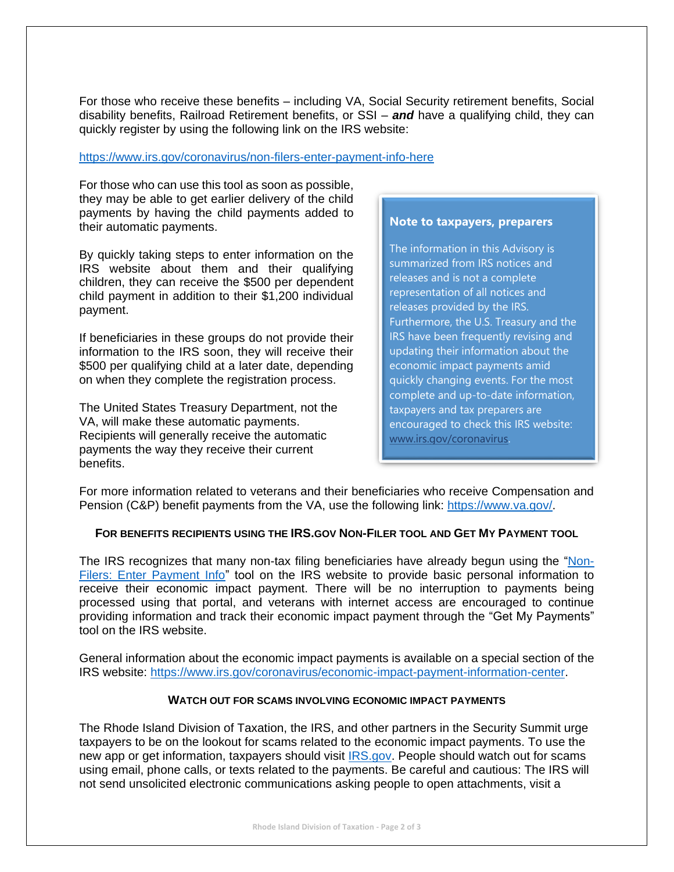For those who receive these benefits – including VA, Social Security retirement benefits, Social disability benefits, Railroad Retirement benefits, or SSI – *and* have a qualifying child, they can quickly register by using the following link on the IRS website:

#### <https://www.irs.gov/coronavirus/non-filers-enter-payment-info-here>

For those who can use this tool as soon as possible, they may be able to get earlier delivery of the child payments by having the child payments added to their automatic payments.

By quickly taking steps to enter information on the IRS website about them and their qualifying children, they can receive the \$500 per dependent child payment in addition to their \$1,200 individual payment.

If beneficiaries in these groups do not provide their information to the IRS soon, they will receive their \$500 per qualifying child at a later date, depending on when they complete the registration process.

The United States Treasury Department, not the VA, will make these automatic payments. Recipients will generally receive the automatic payments the way they receive their current benefits.

# **Note to taxpayers, preparers**

The information in this Advisory is summarized from IRS notices and releases and is not a complete representation of all notices and releases provided by the IRS. Furthermore, the U.S. Treasury and the IRS have been frequently revising and updating their information about the economic impact payments amid quickly changing events. For the most complete and up-to-date information, taxpayers and tax preparers are encouraged to check this IRS website: [www.irs.gov/coronavirus.](https://www.irs.gov/coronavirus)

For more information related to veterans and their beneficiaries who receive Compensation and Pension (C&P) benefit payments from the VA, use the following link: [https://www.va.gov/.](https://www.va.gov/)

## **FOR BENEFITS RECIPIENTS USING THE IRS.GOV NON-FILER TOOL AND GET MY PAYMENT TOOL**

The IRS recognizes that many non-tax filing beneficiaries have already begun using the ["Non-](https://www.irs.gov/coronavirus/non-filers-enter-payment-info-here)[Filers: Enter Payment Info"](https://www.irs.gov/coronavirus/non-filers-enter-payment-info-here) tool on the IRS website to provide basic personal information to receive their economic impact payment. There will be no interruption to payments being processed using that portal, and veterans with internet access are encouraged to continue providing information and track their economic impact payment through the "Get My Payments" tool on the IRS website.

General information about the economic impact payments is available on a special section of the IRS website: [https://www.irs.gov/coronavirus/economic-impact-payment-information-center.](https://www.irs.gov/coronavirus/economic-impact-payment-information-center)

## **WATCH OUT FOR SCAMS INVOLVING ECONOMIC IMPACT PAYMENTS**

The Rhode Island Division of Taxation, the IRS, and other partners in the Security Summit urge taxpayers to be on the lookout for scams related to the economic impact payments. To use the new app or get information, taxpayers should visit **IRS.gov.** People should watch out for scams using email, phone calls, or texts related to the payments. Be careful and cautious: The IRS will not send unsolicited electronic communications asking people to open attachments, visit a